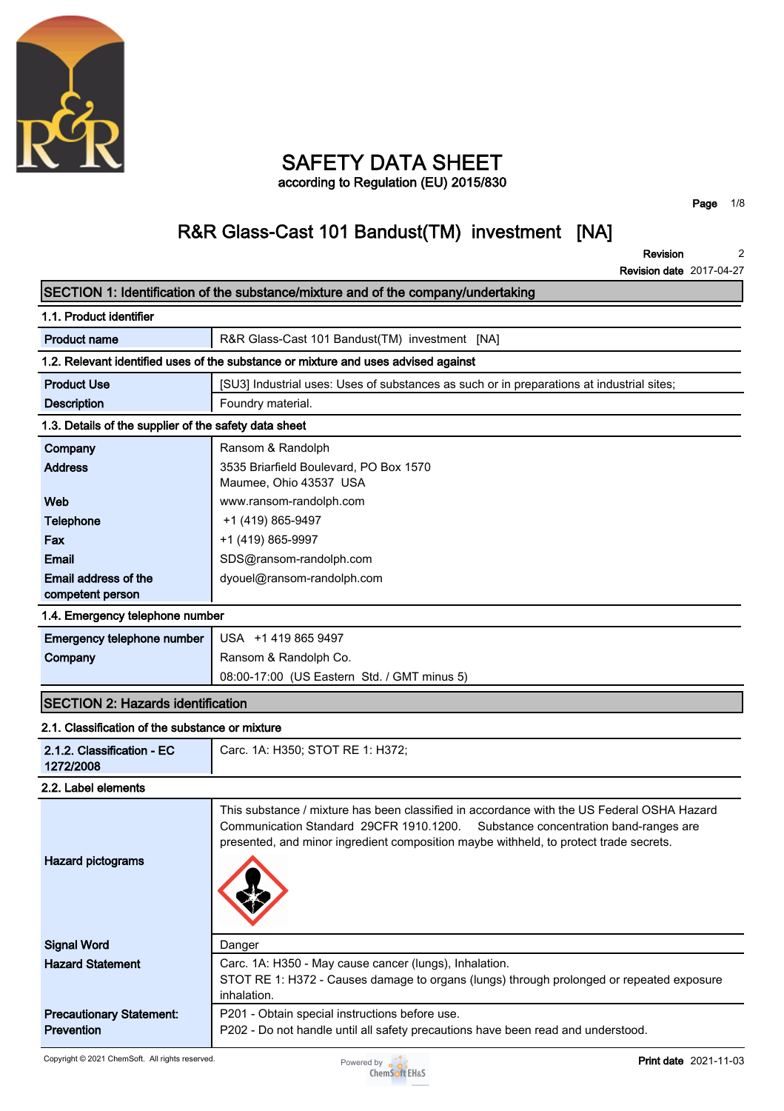

# **SAFETY DATA SHEET according to Regulation (EU) 2015/830**

**Page 1/8**

# **R&R Glass-Cast 101 Bandust(TM) investment [NA]**

**Revision Revision date 2017-04-27 2**

|                                                       | SECTION 1: Identification of the substance/mixture and of the company/undertaking                                                                                                                                                                                         |
|-------------------------------------------------------|---------------------------------------------------------------------------------------------------------------------------------------------------------------------------------------------------------------------------------------------------------------------------|
| 1.1. Product identifier                               |                                                                                                                                                                                                                                                                           |
| <b>Product name</b>                                   | R&R Glass-Cast 101 Bandust(TM) investment [NA]                                                                                                                                                                                                                            |
|                                                       | 1.2. Relevant identified uses of the substance or mixture and uses advised against                                                                                                                                                                                        |
| <b>Product Use</b>                                    | [SU3] Industrial uses: Uses of substances as such or in preparations at industrial sites;                                                                                                                                                                                 |
| <b>Description</b>                                    | Foundry material.                                                                                                                                                                                                                                                         |
| 1.3. Details of the supplier of the safety data sheet |                                                                                                                                                                                                                                                                           |
| Company                                               | Ransom & Randolph                                                                                                                                                                                                                                                         |
| <b>Address</b>                                        | 3535 Briarfield Boulevard, PO Box 1570<br>Maumee, Ohio 43537 USA                                                                                                                                                                                                          |
| Web                                                   | www.ransom-randolph.com                                                                                                                                                                                                                                                   |
| <b>Telephone</b>                                      | +1 (419) 865-9497                                                                                                                                                                                                                                                         |
| Fax                                                   | +1 (419) 865-9997                                                                                                                                                                                                                                                         |
| Email                                                 | SDS@ransom-randolph.com                                                                                                                                                                                                                                                   |
| Email address of the                                  | dyouel@ransom-randolph.com                                                                                                                                                                                                                                                |
| competent person                                      |                                                                                                                                                                                                                                                                           |
| 1.4. Emergency telephone number                       |                                                                                                                                                                                                                                                                           |
| Emergency telephone number                            | USA +1 419 865 9497                                                                                                                                                                                                                                                       |
| Company                                               | Ransom & Randolph Co.                                                                                                                                                                                                                                                     |
|                                                       | 08:00-17:00 (US Eastern Std. / GMT minus 5)                                                                                                                                                                                                                               |
| <b>SECTION 2: Hazards identification</b>              |                                                                                                                                                                                                                                                                           |
| 2.1. Classification of the substance or mixture       |                                                                                                                                                                                                                                                                           |
| 2.1.2. Classification - EC<br>1272/2008               | Carc. 1A: H350; STOT RE 1: H372;                                                                                                                                                                                                                                          |
| 2.2. Label elements                                   |                                                                                                                                                                                                                                                                           |
| <b>Hazard pictograms</b>                              | This substance / mixture has been classified in accordance with the US Federal OSHA Hazard<br>Communication Standard 29CFR 1910.1200.<br>Substance concentration band-ranges are<br>presented, and minor ingredient composition maybe withheld, to protect trade secrets. |
| <b>Signal Word</b>                                    | Danger                                                                                                                                                                                                                                                                    |
| <b>Hazard Statement</b>                               | Carc. 1A: H350 - May cause cancer (lungs), Inhalation.<br>STOT RE 1: H372 - Causes damage to organs (lungs) through prolonged or repeated exposure<br>inhalation.                                                                                                         |
| <b>Precautionary Statement:</b><br><b>Prevention</b>  | P201 - Obtain special instructions before use.<br>P202 - Do not handle until all safety precautions have been read and understood.                                                                                                                                        |

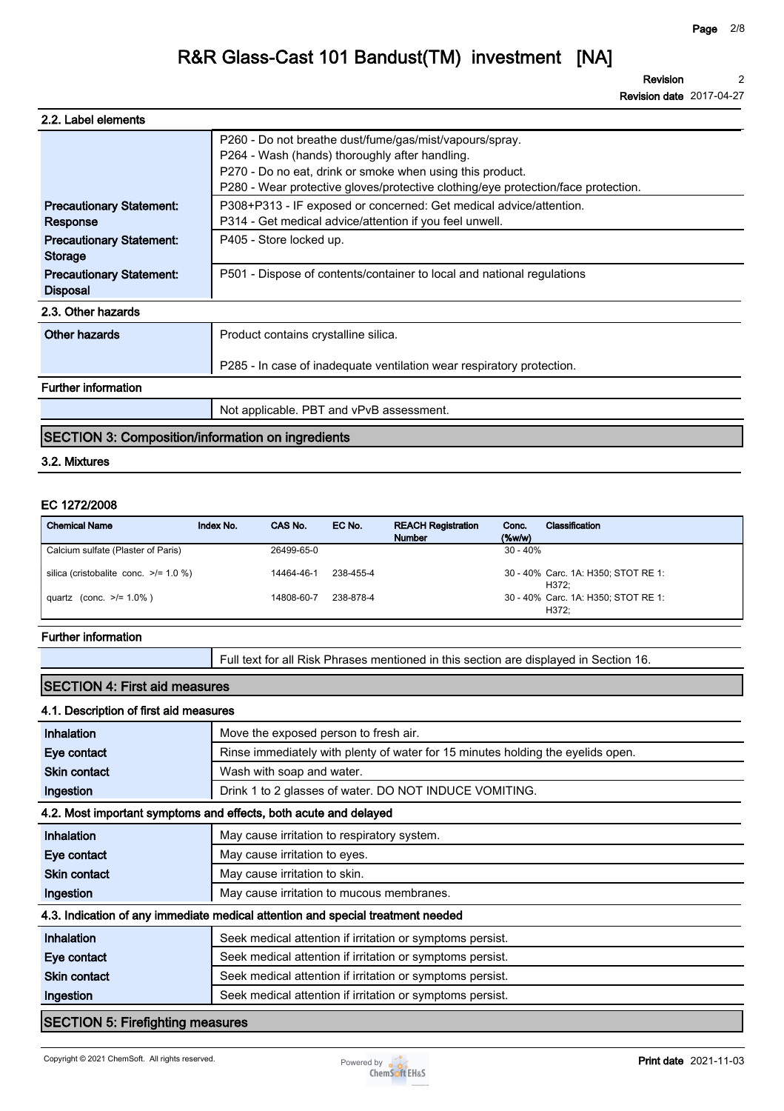**Revision 2**

**Revision date 2017-04-27**

| 2.2. Label elements                                |                                                                                                                                                                                                                                                             |
|----------------------------------------------------|-------------------------------------------------------------------------------------------------------------------------------------------------------------------------------------------------------------------------------------------------------------|
|                                                    | P260 - Do not breathe dust/fume/gas/mist/vapours/spray.<br>P264 - Wash (hands) thoroughly after handling.<br>P270 - Do no eat, drink or smoke when using this product.<br>P280 - Wear protective gloves/protective clothing/eye protection/face protection. |
| <b>Precautionary Statement:</b><br>Response        | P308+P313 - IF exposed or concerned: Get medical advice/attention.<br>P314 - Get medical advice/attention if you feel unwell.                                                                                                                               |
| <b>Precautionary Statement:</b><br><b>Storage</b>  | P405 - Store locked up.                                                                                                                                                                                                                                     |
| <b>Precautionary Statement:</b><br><b>Disposal</b> | P501 - Dispose of contents/container to local and national regulations                                                                                                                                                                                      |
| 2.3. Other hazards                                 |                                                                                                                                                                                                                                                             |
| Other hazards                                      | Product contains crystalline silica.                                                                                                                                                                                                                        |
|                                                    | P285 - In case of inadequate ventilation wear respiratory protection.                                                                                                                                                                                       |
| <b>Further information</b>                         |                                                                                                                                                                                                                                                             |
|                                                    | Not applicable. PBT and vPvB assessment.                                                                                                                                                                                                                    |

## **SECTION 3: Composition/information on ingredients**

### **3.2. Mixtures**

#### **EC 1272/2008**

| <b>Chemical Name</b>                       | Index No. | CAS No.    | EC No.    | <b>REACH Registration</b><br><b>Number</b> | Conc.<br>$(\%w/w)$ | Classification                               |
|--------------------------------------------|-----------|------------|-----------|--------------------------------------------|--------------------|----------------------------------------------|
| Calcium sulfate (Plaster of Paris)         |           | 26499-65-0 |           |                                            | $30 - 40%$         |                                              |
| silica (cristobalite conc. $\ge$ /= 1.0 %) |           | 14464-46-1 | 238-455-4 |                                            |                    | 30 - 40% Carc. 1A: H350; STOT RE 1:<br>H372: |
| quartz (conc. $>1.0\%$ )                   |           | 14808-60-7 | 238-878-4 |                                            |                    | 30 - 40% Carc. 1A: H350; STOT RE 1:<br>H372: |

#### **Further information**

**Full text for all Risk Phrases mentioned in this section are displayed in Section 16.**

### **SECTION 4: First aid measures**

#### **4.1. Description of first aid measures**

| <b>Inhalation</b>                                                               | Move the exposed person to fresh air.                                           |  |  |
|---------------------------------------------------------------------------------|---------------------------------------------------------------------------------|--|--|
| Eye contact                                                                     | Rinse immediately with plenty of water for 15 minutes holding the eyelids open. |  |  |
| <b>Skin contact</b>                                                             | Wash with soap and water.                                                       |  |  |
| Ingestion                                                                       | Drink 1 to 2 glasses of water. DO NOT INDUCE VOMITING.                          |  |  |
| 4.2. Most important symptoms and effects, both acute and delayed                |                                                                                 |  |  |
| Inhalation                                                                      | May cause irritation to respiratory system.                                     |  |  |
| Eye contact                                                                     | May cause irritation to eyes.                                                   |  |  |
| <b>Skin contact</b>                                                             | May cause irritation to skin.                                                   |  |  |
| Ingestion                                                                       | May cause irritation to mucous membranes.                                       |  |  |
| 4.3. Indication of any immediate medical attention and special treatment needed |                                                                                 |  |  |
| Inhalation                                                                      | Seek medical attention if irritation or symptoms persist.                       |  |  |
| Eye contact                                                                     | Seek medical attention if irritation or symptoms persist.                       |  |  |
| <b>Skin contact</b>                                                             | Seek medical attention if irritation or symptoms persist.                       |  |  |
| Ingestion                                                                       | Seek medical attention if irritation or symptoms persist.                       |  |  |
| <b>SECTION 5: Firefighting measures</b>                                         |                                                                                 |  |  |

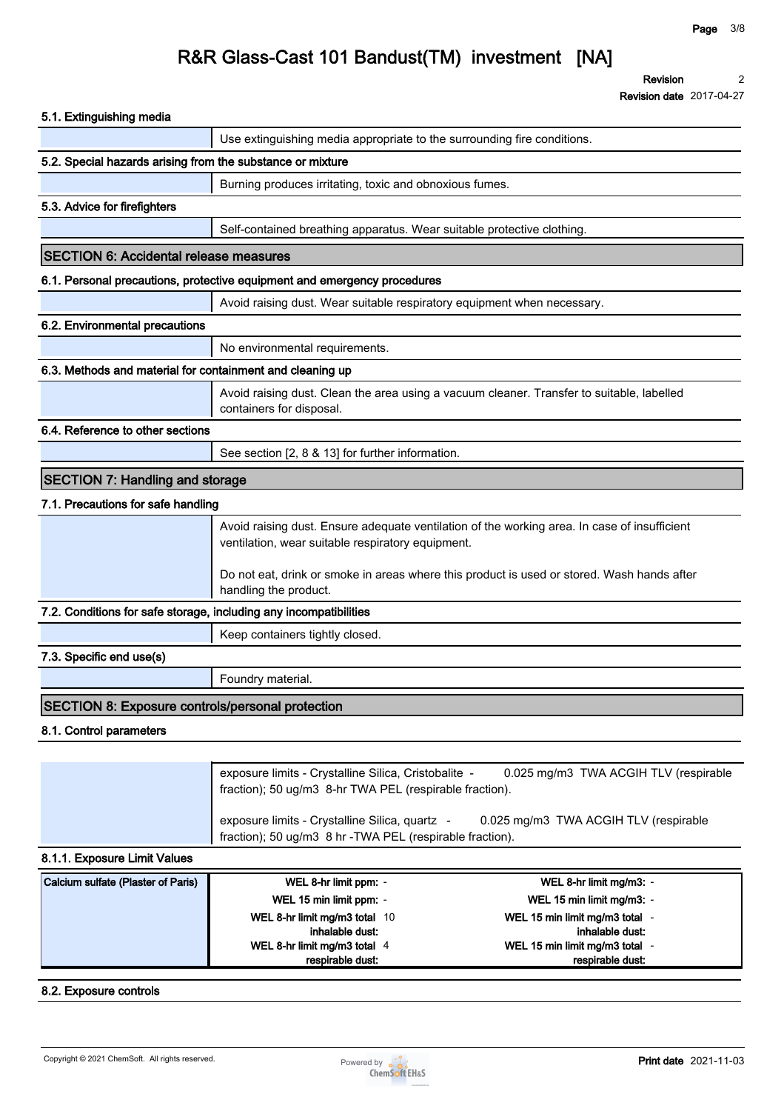**Revision 2**

**Revision date 2017-04-27**

| 5.1. Extinguishing media                                          |                                                                                                                 |                                                                                              |
|-------------------------------------------------------------------|-----------------------------------------------------------------------------------------------------------------|----------------------------------------------------------------------------------------------|
|                                                                   | Use extinguishing media appropriate to the surrounding fire conditions.                                         |                                                                                              |
| 5.2. Special hazards arising from the substance or mixture        |                                                                                                                 |                                                                                              |
|                                                                   | Burning produces irritating, toxic and obnoxious fumes.                                                         |                                                                                              |
| 5.3. Advice for firefighters                                      |                                                                                                                 |                                                                                              |
|                                                                   | Self-contained breathing apparatus. Wear suitable protective clothing.                                          |                                                                                              |
| <b>SECTION 6: Accidental release measures</b>                     |                                                                                                                 |                                                                                              |
|                                                                   | 6.1. Personal precautions, protective equipment and emergency procedures                                        |                                                                                              |
|                                                                   | Avoid raising dust. Wear suitable respiratory equipment when necessary.                                         |                                                                                              |
| 6.2. Environmental precautions                                    |                                                                                                                 |                                                                                              |
|                                                                   | No environmental requirements.                                                                                  |                                                                                              |
| 6.3. Methods and material for containment and cleaning up         |                                                                                                                 |                                                                                              |
|                                                                   |                                                                                                                 | Avoid raising dust. Clean the area using a vacuum cleaner. Transfer to suitable, labelled    |
|                                                                   | containers for disposal.                                                                                        |                                                                                              |
| 6.4. Reference to other sections                                  |                                                                                                                 |                                                                                              |
|                                                                   | See section [2, 8 & 13] for further information.                                                                |                                                                                              |
| <b>SECTION 7: Handling and storage</b>                            |                                                                                                                 |                                                                                              |
| 7.1. Precautions for safe handling                                |                                                                                                                 |                                                                                              |
|                                                                   | ventilation, wear suitable respiratory equipment.                                                               | Avoid raising dust. Ensure adequate ventilation of the working area. In case of insufficient |
|                                                                   | handling the product.                                                                                           | Do not eat, drink or smoke in areas where this product is used or stored. Wash hands after   |
| 7.2. Conditions for safe storage, including any incompatibilities |                                                                                                                 |                                                                                              |
|                                                                   | Keep containers tightly closed.                                                                                 |                                                                                              |
| 7.3. Specific end use(s)                                          |                                                                                                                 |                                                                                              |
|                                                                   | Foundry material.                                                                                               |                                                                                              |
| <b>SECTION 8: Exposure controls/personal protection</b>           |                                                                                                                 |                                                                                              |
| 8.1. Control parameters                                           |                                                                                                                 |                                                                                              |
|                                                                   |                                                                                                                 |                                                                                              |
|                                                                   | exposure limits - Crystalline Silica, Cristobalite -<br>fraction); 50 ug/m3 8-hr TWA PEL (respirable fraction). | 0.025 mg/m3 TWA ACGIH TLV (respirable                                                        |
|                                                                   | exposure limits - Crystalline Silica, quartz -<br>fraction); 50 ug/m3 8 hr - TWA PEL (respirable fraction).     | 0.025 mg/m3 TWA ACGIH TLV (respirable                                                        |
| 8.1.1. Exposure Limit Values                                      |                                                                                                                 |                                                                                              |
| Calcium sulfate (Plaster of Paris)                                | WEL 8-hr limit ppm: -                                                                                           | WEL 8-hr limit mg/m3: -                                                                      |
|                                                                   | WEL 15 min limit ppm: -                                                                                         | WEL 15 min limit mg/m3: -                                                                    |
|                                                                   |                                                                                                                 |                                                                                              |
|                                                                   | WEL 8-hr limit mg/m3 total 10                                                                                   | WEL 15 min limit mg/m3 total -                                                               |
|                                                                   | inhalable dust:<br>WEL 8-hr limit mg/m3 total 4                                                                 | inhalable dust:<br>WEL 15 min limit mg/m3 total -                                            |

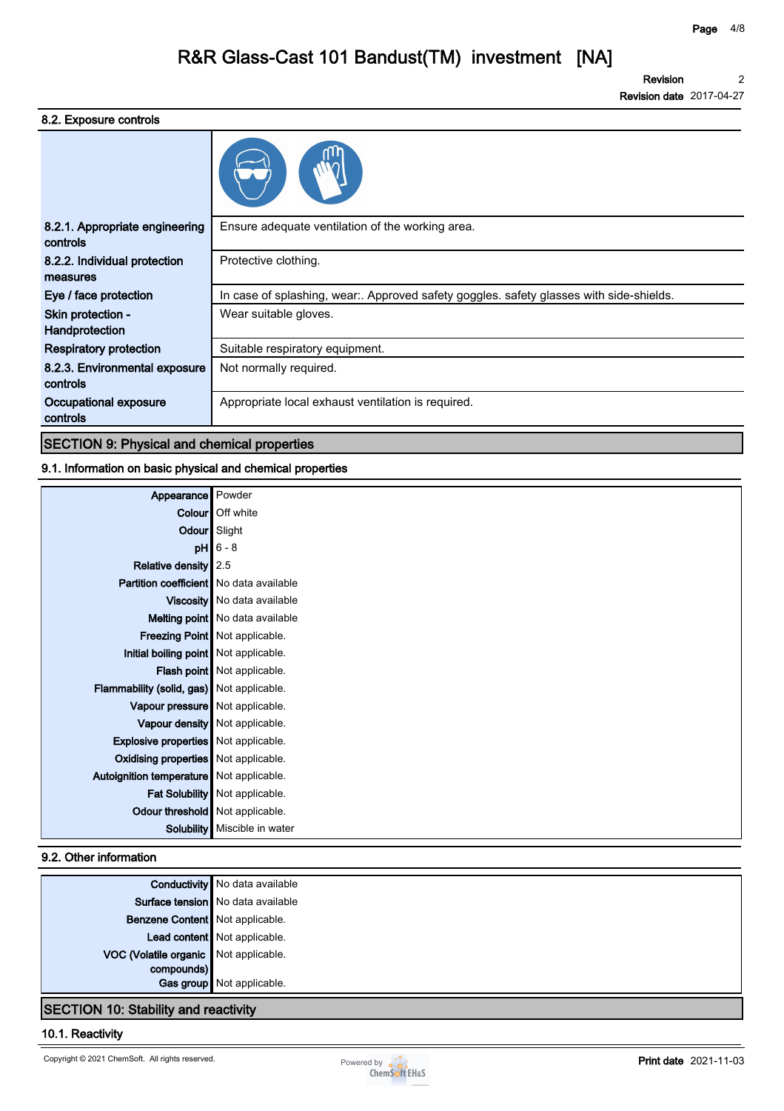**Revision Revision date 2017-04-27 2**

### **8.2. Exposure controls**

| 8.2.1. Appropriate engineering<br>controls | Ensure adequate ventilation of the working area.                                        |
|--------------------------------------------|-----------------------------------------------------------------------------------------|
| 8.2.2. Individual protection<br>measures   | Protective clothing.                                                                    |
| Eye / face protection                      | In case of splashing, wear:. Approved safety goggles. safety glasses with side-shields. |
| Skin protection -<br>Handprotection        | Wear suitable gloves.                                                                   |
| Respiratory protection                     | Suitable respiratory equipment.                                                         |
| 8.2.3. Environmental exposure<br>controls  | Not normally required.                                                                  |
| Occupational exposure<br>controls          | Appropriate local exhaust ventilation is required.                                      |
|                                            |                                                                                         |

# **SECTION 9: Physical and chemical properties**

### **9.1. Information on basic physical and chemical properties**

| Appearance   Powder                            |                                         |
|------------------------------------------------|-----------------------------------------|
|                                                | Colour   Off white                      |
| Odour Slight                                   |                                         |
|                                                | $pH$ 6 - 8                              |
| Relative density 2.5                           |                                         |
| <b>Partition coefficient</b> No data available |                                         |
|                                                | Viscosity   No data available           |
|                                                | Melting point   No data available       |
|                                                | <b>Freezing Point   Not applicable.</b> |
| Initial boiling point Not applicable.          |                                         |
|                                                | <b>Flash point</b> Not applicable.      |
| Flammability (solid, gas) Not applicable.      |                                         |
| Vapour pressure   Not applicable.              |                                         |
|                                                | Vapour density   Not applicable.        |
| <b>Explosive properties</b> Not applicable.    |                                         |
| Oxidising properties   Not applicable.         |                                         |
| Autoignition temperature   Not applicable.     |                                         |
|                                                | Fat Solubility   Not applicable.        |
| Odour threshold   Not applicable.              |                                         |
|                                                | Solubility   Miscible in water          |

### **9.2. Other information**

|                                       | <b>Conductivity</b> No data available |
|---------------------------------------|---------------------------------------|
|                                       | Surface tension   No data available   |
| Benzene Content   Not applicable.     |                                       |
|                                       | Lead content   Not applicable.        |
| VOC (Volatile organic Not applicable. |                                       |
| compounds)                            |                                       |
|                                       | Gas group Not applicable.             |

# **SECTION 10: Stability and reactivity**

### **10.1. Reactivity**

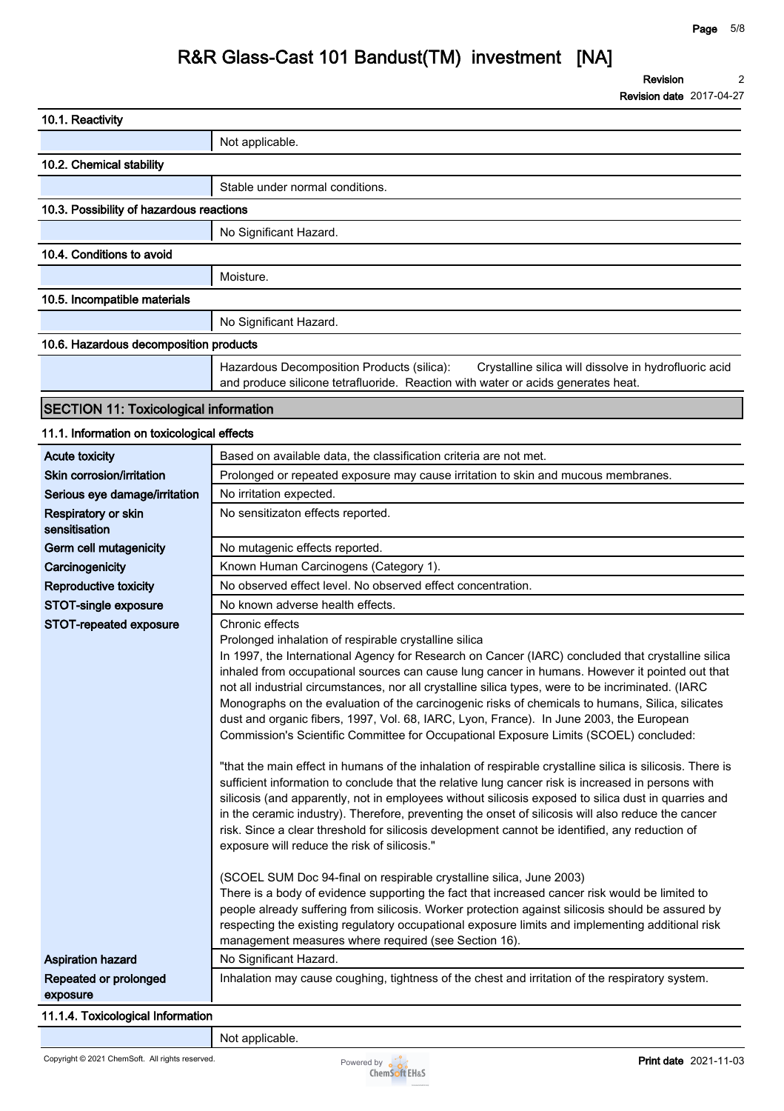**Revision 2**

**Revision date 2017-04-27**

| 10.1. Reactivity                                                       |                                                                                                                                                                                                                                                                                                                                                                                                                                                                                                                                                                                                                                                                                                                                                                                                                                                                                                                                                                                                                                                                                                                                                                                                                                                                                                                                                                                                                                                                                                                                                                                                                                                                                                             |
|------------------------------------------------------------------------|-------------------------------------------------------------------------------------------------------------------------------------------------------------------------------------------------------------------------------------------------------------------------------------------------------------------------------------------------------------------------------------------------------------------------------------------------------------------------------------------------------------------------------------------------------------------------------------------------------------------------------------------------------------------------------------------------------------------------------------------------------------------------------------------------------------------------------------------------------------------------------------------------------------------------------------------------------------------------------------------------------------------------------------------------------------------------------------------------------------------------------------------------------------------------------------------------------------------------------------------------------------------------------------------------------------------------------------------------------------------------------------------------------------------------------------------------------------------------------------------------------------------------------------------------------------------------------------------------------------------------------------------------------------------------------------------------------------|
|                                                                        | Not applicable.                                                                                                                                                                                                                                                                                                                                                                                                                                                                                                                                                                                                                                                                                                                                                                                                                                                                                                                                                                                                                                                                                                                                                                                                                                                                                                                                                                                                                                                                                                                                                                                                                                                                                             |
| 10.2. Chemical stability                                               |                                                                                                                                                                                                                                                                                                                                                                                                                                                                                                                                                                                                                                                                                                                                                                                                                                                                                                                                                                                                                                                                                                                                                                                                                                                                                                                                                                                                                                                                                                                                                                                                                                                                                                             |
|                                                                        | Stable under normal conditions.                                                                                                                                                                                                                                                                                                                                                                                                                                                                                                                                                                                                                                                                                                                                                                                                                                                                                                                                                                                                                                                                                                                                                                                                                                                                                                                                                                                                                                                                                                                                                                                                                                                                             |
| 10.3. Possibility of hazardous reactions                               |                                                                                                                                                                                                                                                                                                                                                                                                                                                                                                                                                                                                                                                                                                                                                                                                                                                                                                                                                                                                                                                                                                                                                                                                                                                                                                                                                                                                                                                                                                                                                                                                                                                                                                             |
|                                                                        | No Significant Hazard.                                                                                                                                                                                                                                                                                                                                                                                                                                                                                                                                                                                                                                                                                                                                                                                                                                                                                                                                                                                                                                                                                                                                                                                                                                                                                                                                                                                                                                                                                                                                                                                                                                                                                      |
| 10.4. Conditions to avoid                                              |                                                                                                                                                                                                                                                                                                                                                                                                                                                                                                                                                                                                                                                                                                                                                                                                                                                                                                                                                                                                                                                                                                                                                                                                                                                                                                                                                                                                                                                                                                                                                                                                                                                                                                             |
|                                                                        | Moisture.                                                                                                                                                                                                                                                                                                                                                                                                                                                                                                                                                                                                                                                                                                                                                                                                                                                                                                                                                                                                                                                                                                                                                                                                                                                                                                                                                                                                                                                                                                                                                                                                                                                                                                   |
| 10.5. Incompatible materials                                           |                                                                                                                                                                                                                                                                                                                                                                                                                                                                                                                                                                                                                                                                                                                                                                                                                                                                                                                                                                                                                                                                                                                                                                                                                                                                                                                                                                                                                                                                                                                                                                                                                                                                                                             |
|                                                                        |                                                                                                                                                                                                                                                                                                                                                                                                                                                                                                                                                                                                                                                                                                                                                                                                                                                                                                                                                                                                                                                                                                                                                                                                                                                                                                                                                                                                                                                                                                                                                                                                                                                                                                             |
|                                                                        | No Significant Hazard.                                                                                                                                                                                                                                                                                                                                                                                                                                                                                                                                                                                                                                                                                                                                                                                                                                                                                                                                                                                                                                                                                                                                                                                                                                                                                                                                                                                                                                                                                                                                                                                                                                                                                      |
| 10.6. Hazardous decomposition products                                 |                                                                                                                                                                                                                                                                                                                                                                                                                                                                                                                                                                                                                                                                                                                                                                                                                                                                                                                                                                                                                                                                                                                                                                                                                                                                                                                                                                                                                                                                                                                                                                                                                                                                                                             |
|                                                                        | Hazardous Decomposition Products (silica):<br>Crystalline silica will dissolve in hydrofluoric acid<br>and produce silicone tetrafluoride. Reaction with water or acids generates heat.                                                                                                                                                                                                                                                                                                                                                                                                                                                                                                                                                                                                                                                                                                                                                                                                                                                                                                                                                                                                                                                                                                                                                                                                                                                                                                                                                                                                                                                                                                                     |
| <b>SECTION 11: Toxicological information</b>                           |                                                                                                                                                                                                                                                                                                                                                                                                                                                                                                                                                                                                                                                                                                                                                                                                                                                                                                                                                                                                                                                                                                                                                                                                                                                                                                                                                                                                                                                                                                                                                                                                                                                                                                             |
| 11.1. Information on toxicological effects                             |                                                                                                                                                                                                                                                                                                                                                                                                                                                                                                                                                                                                                                                                                                                                                                                                                                                                                                                                                                                                                                                                                                                                                                                                                                                                                                                                                                                                                                                                                                                                                                                                                                                                                                             |
| <b>Acute toxicity</b>                                                  | Based on available data, the classification criteria are not met.                                                                                                                                                                                                                                                                                                                                                                                                                                                                                                                                                                                                                                                                                                                                                                                                                                                                                                                                                                                                                                                                                                                                                                                                                                                                                                                                                                                                                                                                                                                                                                                                                                           |
| Skin corrosion/irritation                                              | Prolonged or repeated exposure may cause irritation to skin and mucous membranes.                                                                                                                                                                                                                                                                                                                                                                                                                                                                                                                                                                                                                                                                                                                                                                                                                                                                                                                                                                                                                                                                                                                                                                                                                                                                                                                                                                                                                                                                                                                                                                                                                           |
| Serious eye damage/irritation                                          | No irritation expected.                                                                                                                                                                                                                                                                                                                                                                                                                                                                                                                                                                                                                                                                                                                                                                                                                                                                                                                                                                                                                                                                                                                                                                                                                                                                                                                                                                                                                                                                                                                                                                                                                                                                                     |
| Respiratory or skin<br>sensitisation                                   | No sensitizaton effects reported.                                                                                                                                                                                                                                                                                                                                                                                                                                                                                                                                                                                                                                                                                                                                                                                                                                                                                                                                                                                                                                                                                                                                                                                                                                                                                                                                                                                                                                                                                                                                                                                                                                                                           |
| Germ cell mutagenicity                                                 | No mutagenic effects reported.                                                                                                                                                                                                                                                                                                                                                                                                                                                                                                                                                                                                                                                                                                                                                                                                                                                                                                                                                                                                                                                                                                                                                                                                                                                                                                                                                                                                                                                                                                                                                                                                                                                                              |
| Carcinogenicity                                                        | Known Human Carcinogens (Category 1).                                                                                                                                                                                                                                                                                                                                                                                                                                                                                                                                                                                                                                                                                                                                                                                                                                                                                                                                                                                                                                                                                                                                                                                                                                                                                                                                                                                                                                                                                                                                                                                                                                                                       |
| Reproductive toxicity                                                  | No observed effect level. No observed effect concentration.                                                                                                                                                                                                                                                                                                                                                                                                                                                                                                                                                                                                                                                                                                                                                                                                                                                                                                                                                                                                                                                                                                                                                                                                                                                                                                                                                                                                                                                                                                                                                                                                                                                 |
| STOT-single exposure                                                   | No known adverse health effects.                                                                                                                                                                                                                                                                                                                                                                                                                                                                                                                                                                                                                                                                                                                                                                                                                                                                                                                                                                                                                                                                                                                                                                                                                                                                                                                                                                                                                                                                                                                                                                                                                                                                            |
| STOT-repeated exposure                                                 | Chronic effects<br>Prolonged inhalation of respirable crystalline silica<br>In 1997, the International Agency for Research on Cancer (IARC) concluded that crystalline silica<br>inhaled from occupational sources can cause lung cancer in humans. However it pointed out that<br>not all industrial circumstances, nor all crystalline silica types, were to be incriminated. (IARC<br>Monographs on the evaluation of the carcinogenic risks of chemicals to humans, Silica, silicates<br>dust and organic fibers, 1997, Vol. 68, IARC, Lyon, France). In June 2003, the European<br>Commission's Scientific Committee for Occupational Exposure Limits (SCOEL) concluded:<br>"that the main effect in humans of the inhalation of respirable crystalline silica is silicosis. There is<br>sufficient information to conclude that the relative lung cancer risk is increased in persons with<br>silicosis (and apparently, not in employees without silicosis exposed to silica dust in quarries and<br>in the ceramic industry). Therefore, preventing the onset of silicosis will also reduce the cancer<br>risk. Since a clear threshold for silicosis development cannot be identified, any reduction of<br>exposure will reduce the risk of silicosis."<br>(SCOEL SUM Doc 94-final on respirable crystalline silica, June 2003)<br>There is a body of evidence supporting the fact that increased cancer risk would be limited to<br>people already suffering from silicosis. Worker protection against silicosis should be assured by<br>respecting the existing regulatory occupational exposure limits and implementing additional risk<br>management measures where required (see Section 16). |
| <b>Aspiration hazard</b>                                               | No Significant Hazard.                                                                                                                                                                                                                                                                                                                                                                                                                                                                                                                                                                                                                                                                                                                                                                                                                                                                                                                                                                                                                                                                                                                                                                                                                                                                                                                                                                                                                                                                                                                                                                                                                                                                                      |
| Repeated or prolonged<br>exposure<br>11.1.4. Toxicological Information | Inhalation may cause coughing, tightness of the chest and irritation of the respiratory system.                                                                                                                                                                                                                                                                                                                                                                                                                                                                                                                                                                                                                                                                                                                                                                                                                                                                                                                                                                                                                                                                                                                                                                                                                                                                                                                                                                                                                                                                                                                                                                                                             |

**Not applicable.**

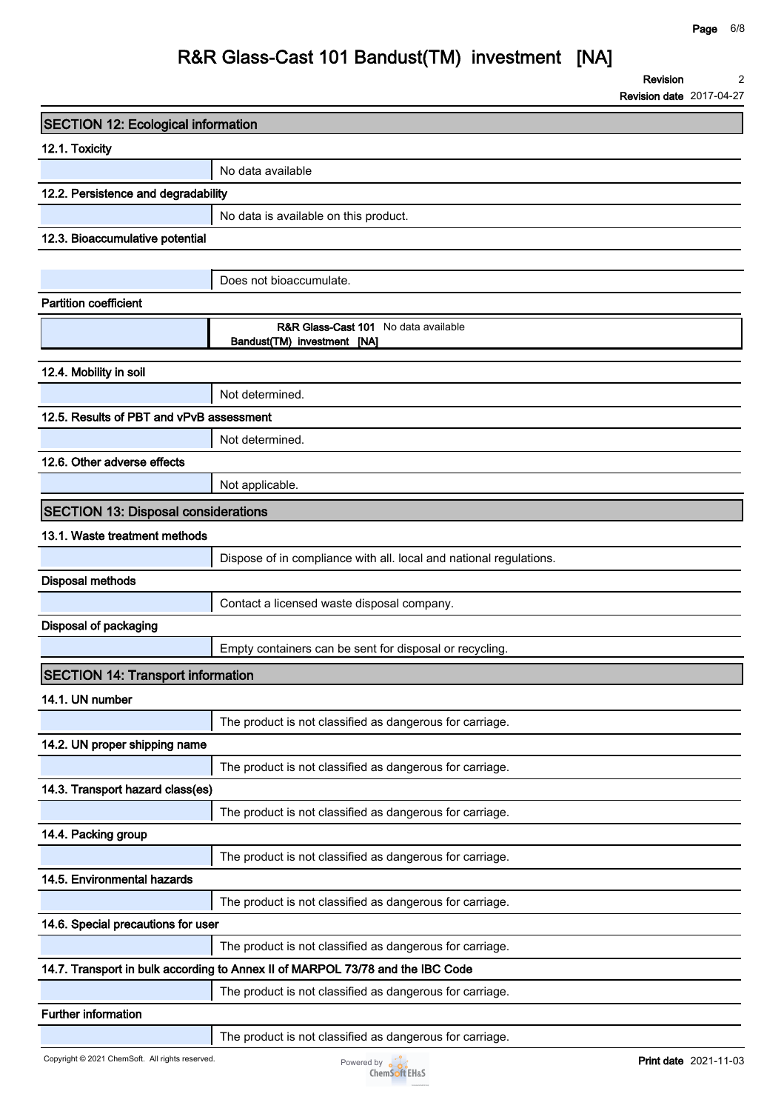**Revision 2**

**Revision date 2017-04-27**

| <b>SECTION 12: Ecological information</b>  |                                                                                |  |  |
|--------------------------------------------|--------------------------------------------------------------------------------|--|--|
| 12.1. Toxicity                             |                                                                                |  |  |
|                                            | No data available                                                              |  |  |
| 12.2. Persistence and degradability        |                                                                                |  |  |
|                                            | No data is available on this product.                                          |  |  |
| 12.3. Bioaccumulative potential            |                                                                                |  |  |
|                                            |                                                                                |  |  |
|                                            | Does not bioaccumulate.                                                        |  |  |
| <b>Partition coefficient</b>               |                                                                                |  |  |
|                                            | <b>R&amp;R Glass-Cast 101</b> No data available<br>Bandust(TM) investment [NA] |  |  |
| 12.4. Mobility in soil                     |                                                                                |  |  |
|                                            | Not determined.                                                                |  |  |
| 12.5. Results of PBT and vPvB assessment   |                                                                                |  |  |
|                                            | Not determined.                                                                |  |  |
| 12.6. Other adverse effects                |                                                                                |  |  |
|                                            | Not applicable.                                                                |  |  |
| <b>SECTION 13: Disposal considerations</b> |                                                                                |  |  |
| 13.1. Waste treatment methods              |                                                                                |  |  |
|                                            | Dispose of in compliance with all. local and national regulations.             |  |  |
| <b>Disposal methods</b>                    |                                                                                |  |  |
|                                            | Contact a licensed waste disposal company.                                     |  |  |
| Disposal of packaging                      |                                                                                |  |  |
|                                            | Empty containers can be sent for disposal or recycling.                        |  |  |
| <b>SECTION 14: Transport information</b>   |                                                                                |  |  |
| 14.1. UN number                            |                                                                                |  |  |
|                                            | The product is not classified as dangerous for carriage.                       |  |  |
| 14.2. UN proper shipping name              |                                                                                |  |  |
|                                            | The product is not classified as dangerous for carriage.                       |  |  |
| 14.3. Transport hazard class(es)           |                                                                                |  |  |
|                                            | The product is not classified as dangerous for carriage.                       |  |  |
| 14.4. Packing group                        |                                                                                |  |  |
|                                            | The product is not classified as dangerous for carriage.                       |  |  |
| 14.5. Environmental hazards                |                                                                                |  |  |
|                                            | The product is not classified as dangerous for carriage.                       |  |  |
| 14.6. Special precautions for user         |                                                                                |  |  |
|                                            | The product is not classified as dangerous for carriage.                       |  |  |
|                                            | 14.7. Transport in bulk according to Annex II of MARPOL 73/78 and the IBC Code |  |  |
|                                            | The product is not classified as dangerous for carriage.                       |  |  |
| <b>Further information</b>                 |                                                                                |  |  |
|                                            | The product is not classified as dangerous for carriage.                       |  |  |

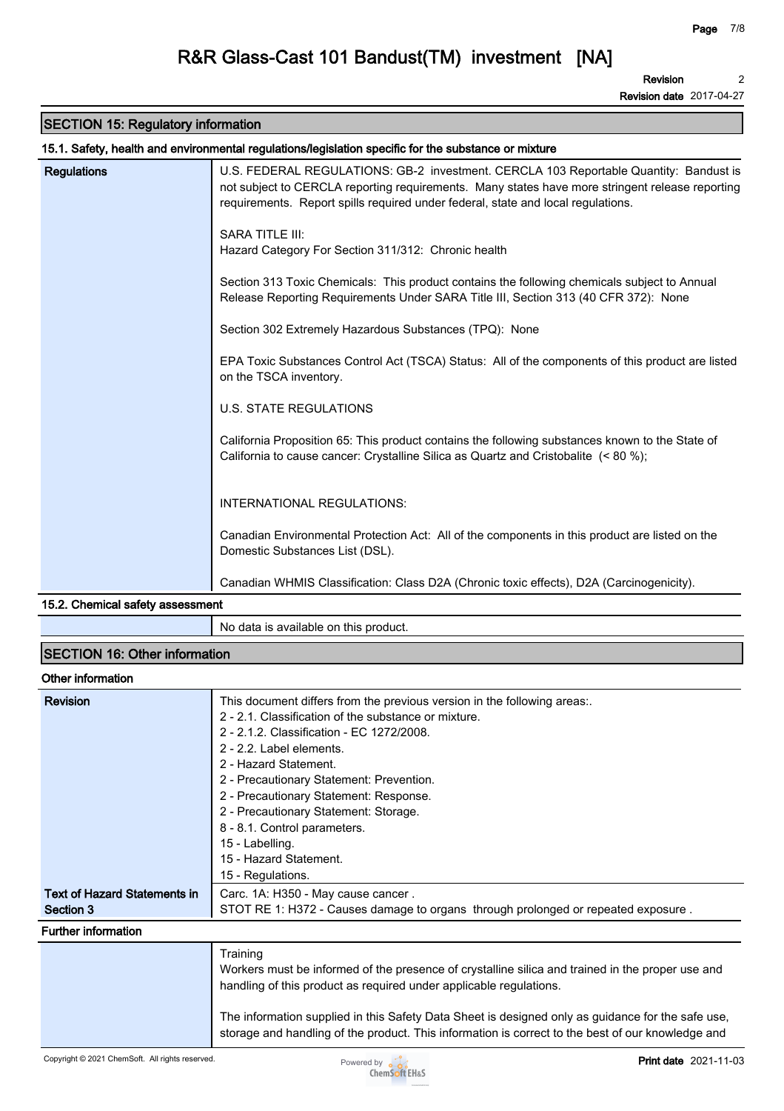**Revision 2**

**Revision date 2017-04-27**

# **SECTION 15: Regulatory information**

|                                                 | 15.1. Safety, health and environmental regulations/legislation specific for the substance or mixture                                                                                                                                                                         |  |  |
|-------------------------------------------------|------------------------------------------------------------------------------------------------------------------------------------------------------------------------------------------------------------------------------------------------------------------------------|--|--|
| <b>Regulations</b>                              | U.S. FEDERAL REGULATIONS: GB-2 investment. CERCLA 103 Reportable Quantity: Bandust is<br>not subject to CERCLA reporting requirements. Many states have more stringent release reporting<br>requirements. Report spills required under federal, state and local regulations. |  |  |
|                                                 | <b>SARA TITLE III:</b><br>Hazard Category For Section 311/312: Chronic health                                                                                                                                                                                                |  |  |
|                                                 | Section 313 Toxic Chemicals: This product contains the following chemicals subject to Annual<br>Release Reporting Requirements Under SARA Title III, Section 313 (40 CFR 372): None                                                                                          |  |  |
|                                                 | Section 302 Extremely Hazardous Substances (TPQ): None                                                                                                                                                                                                                       |  |  |
|                                                 | EPA Toxic Substances Control Act (TSCA) Status: All of the components of this product are listed<br>on the TSCA inventory.                                                                                                                                                   |  |  |
|                                                 | <b>U.S. STATE REGULATIONS</b>                                                                                                                                                                                                                                                |  |  |
|                                                 | California Proposition 65: This product contains the following substances known to the State of<br>California to cause cancer: Crystalline Silica as Quartz and Cristobalite (< 80 %);                                                                                       |  |  |
|                                                 | INTERNATIONAL REGULATIONS:                                                                                                                                                                                                                                                   |  |  |
|                                                 | Canadian Environmental Protection Act: All of the components in this product are listed on the<br>Domestic Substances List (DSL).                                                                                                                                            |  |  |
|                                                 | Canadian WHMIS Classification: Class D2A (Chronic toxic effects), D2A (Carcinogenicity).                                                                                                                                                                                     |  |  |
| $\overline{AB}$ $\overline{CD}$ $\overline{CD}$ |                                                                                                                                                                                                                                                                              |  |  |

#### **15.2. Chemical safety assessment**

**No data is available on this product.**

## **SECTION 16: Other information**

#### **Other information**

| <b>Revision</b>              | This document differs from the previous version in the following areas<br>2 - 2.1. Classification of the substance or mixture.<br>2 - 2.1.2. Classification - EC 1272/2008.<br>2 - 2.2. Label elements.<br>2 - Hazard Statement.<br>2 - Precautionary Statement: Prevention.<br>2 - Precautionary Statement: Response.<br>2 - Precautionary Statement: Storage.<br>8 - 8.1. Control parameters.<br>15 - Labelling. |
|------------------------------|--------------------------------------------------------------------------------------------------------------------------------------------------------------------------------------------------------------------------------------------------------------------------------------------------------------------------------------------------------------------------------------------------------------------|
|                              | 15 - Hazard Statement.                                                                                                                                                                                                                                                                                                                                                                                             |
|                              | 15 - Regulations.                                                                                                                                                                                                                                                                                                                                                                                                  |
| Text of Hazard Statements in | Carc. 1A: H350 - May cause cancer.                                                                                                                                                                                                                                                                                                                                                                                 |
| Section 3                    | STOT RE 1: H372 - Causes damage to organs through prolonged or repeated exposure.                                                                                                                                                                                                                                                                                                                                  |
| <b>Further information</b>   |                                                                                                                                                                                                                                                                                                                                                                                                                    |
|                              | Training<br>Workers must be informed of the presence of crystalline silica and trained in the proper use and<br>handling of this product as required under applicable regulations.                                                                                                                                                                                                                                 |

**The information supplied in this Safety Data Sheet is designed only as guidance for the safe use, storage and handling of the product. This information is correct to the best of our knowledge and**